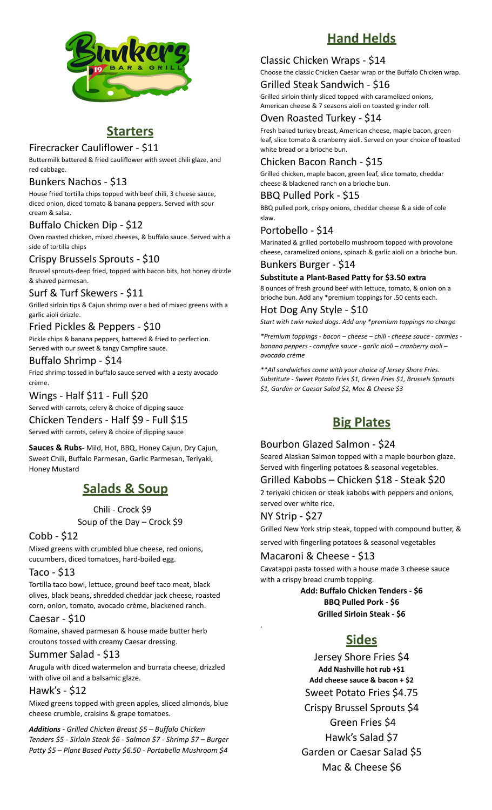

### **Starters**

#### Firecracker Cauliflower - \$11

Buttermilk battered & fried cauliflower with sweet chili glaze, and red cabbage.

#### Bunkers Nachos - \$13

House fried tortilla chips topped with beef chili, 3 cheese sauce, diced onion, diced tomato & banana peppers. Served with sour cream & salsa.

#### Buffalo Chicken Dip - \$12

Oven roasted chicken, mixed cheeses, & buffalo sauce. Served with a side of tortilla chips

#### Crispy Brussels Sprouts - \$10

Brussel sprouts-deep fried, topped with bacon bits, hot honey drizzle & shaved parmesan.

#### Surf & Turf Skewers - \$11

Grilled sirloin tips & Cajun shrimp over a bed of mixed greens with a garlic aioli drizzle.

#### Fried Pickles & Peppers - \$10

Pickle chips & banana peppers, battered & fried to perfection. Served with our sweet & tangy Campfire sauce.

#### Buffalo Shrimp - \$14

Fried shrimp tossed in buffalo sauce served with a zesty avocado crème.

#### Wings - Half \$11 - Full \$20

Served with carrots, celery & choice of dipping sauce

## Chicken Tenders - Half \$9 - Full \$15

Served with carrots, celery & choice of dipping sauce

**Sauces & Rubs**- Mild, Hot, BBQ, Honey Cajun, Dry Cajun, Sweet Chili, Buffalo Parmesan, Garlic Parmesan, Teriyaki, Honey Mustard

## **Salads & Soup**

#### Chili - Crock \$9

Soup of the Day – Crock \$9

#### Cobb - \$12

Mixed greens with crumbled blue cheese, red onions, cucumbers, diced tomatoes, hard-boiled egg.

#### Taco - \$13

Tortilla taco bowl, lettuce, ground beef taco meat, black olives, black beans, shredded cheddar jack cheese, roasted corn, onion, tomato, avocado crème, blackened ranch.

#### Caesar - \$10

Romaine, shaved parmesan & house made butter herb croutons tossed with creamy Caesar dressing.

#### Summer Salad - \$13

Arugula with diced watermelon and burrata cheese, drizzled with olive oil and a balsamic glaze.

#### Hawk's - \$12

Mixed greens topped with green apples, sliced almonds, blue cheese crumble, craisins & grape tomatoes.

*Additions - Grilled Chicken Breast \$5 – Buffalo Chicken Tenders \$5 - Sirloin Steak \$6 - Salmon \$7 - Shrimp \$7 – Burger Patty \$5 – Plant Based Patty \$6.50 - Portabella Mushroom \$4*

## **Hand Helds**

#### Classic Chicken Wraps - \$14

Choose the classic Chicken Caesar wrap or the Buffalo Chicken wrap.

#### Grilled Steak Sandwich - \$16 Grilled sirloin thinly sliced topped with caramelized onions, American cheese & 7 seasons aioli on toasted grinder roll.

#### Oven Roasted Turkey - \$14

Fresh baked turkey breast, American cheese, maple bacon, green leaf, slice tomato & cranberry aioli. Served on your choice of toasted white bread or a brioche bun.

#### Chicken Bacon Ranch - \$15

Grilled chicken, maple bacon, green leaf, slice tomato, cheddar cheese & blackened ranch on a brioche bun.

#### BBQ Pulled Pork - \$15 BBQ pulled pork, crispy onions, cheddar cheese & a side of cole slaw.

Portobello - \$14

Marinated & grilled portobello mushroom topped with provolone cheese, caramelized onions, spinach & garlic aioli on a brioche bun.

#### Bunkers Burger - \$14

#### **Substitute a Plant-Based Patty for \$3.50 extra**

8 ounces of fresh ground beef with lettuce, tomato, & onion on a brioche bun. Add any \*premium toppings for .50 cents each.

#### Hot Dog Any Style - \$10

*Start with twin naked dogs. Add any \*premium toppings no charge*

*\*Premium toppings - bacon – cheese – chili - cheese sauce - carmies banana peppers - campfire sauce - garlic aioli – cranberry aioli – avocado crème*

*\*\*All sandwiches come with your choice of Jersey Shore Fries. Substitute - Sweet Potato Fries \$1, Green Fries \$1, Brussels Sprouts \$1, Garden or Caesar Salad \$2, Mac & Cheese \$3*

## **Big Plates**

#### Bourbon Glazed Salmon - \$24

Seared Alaskan Salmon topped with a maple bourbon glaze. Served with fingerling potatoes & seasonal vegetables.

#### Grilled Kabobs – Chicken \$18 - Steak \$20

2 teriyaki chicken or steak kabobs with peppers and onions, served over white rice.

#### NY Strip - \$27

.

Grilled New York strip steak, topped with compound butter, &

served with fingerling potatoes & seasonal vegetables

#### Macaroni & Cheese - \$13

Cavatappi pasta tossed with a house made 3 cheese sauce with a crispy bread crumb topping.

> **Add: Buffalo Chicken Tenders - \$6 BBQ Pulled Pork - \$6 Grilled Sirloin Steak - \$6**

## **Sides**

Jersey Shore Fries \$4 **Add Nashville hot rub +\$1 Add cheese sauce & bacon + \$2** Sweet Potato Fries \$4.75 Crispy Brussel Sprouts \$4 Green Fries \$4 Hawk's Salad \$7 Garden or Caesar Salad \$5 Mac & Cheese \$6